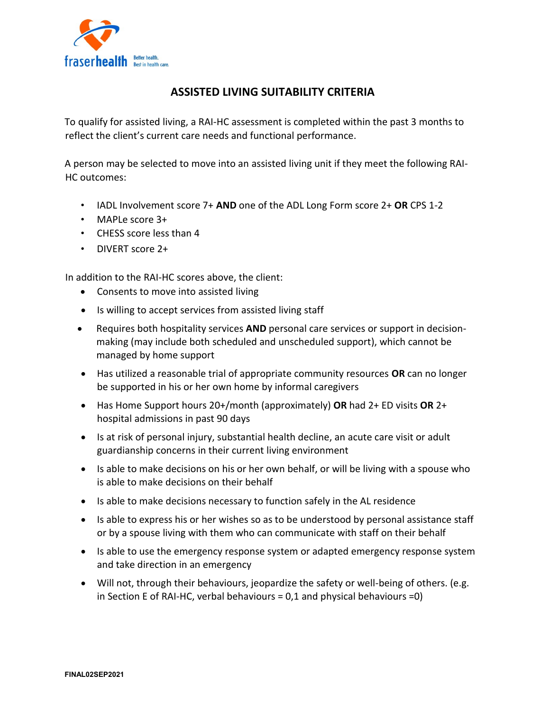

## **ASSISTED LIVING SUITABILITY CRITERIA**

To qualify for assisted living, a RAI-HC assessment is completed within the past 3 months to reflect the client's current care needs and functional performance.

A person may be selected to move into an assisted living unit if they meet the following RAI-HC outcomes:

- IADL Involvement score 7+ **AND** one of the ADL Long Form score 2+ **OR** CPS 1-2
- MAPLe score 3+
- CHESS score less than 4
- DIVERT score 2+

In addition to the RAI-HC scores above, the client:

- Consents to move into assisted living
- Is willing to accept services from assisted living staff
- Requires both hospitality services **AND** personal care services or support in decisionmaking (may include both scheduled and unscheduled support), which cannot be managed by home support
- Has utilized a reasonable trial of appropriate community resources **OR** can no longer be supported in his or her own home by informal caregivers
- Has Home Support hours 20+/month (approximately) **OR** had 2+ ED visits **OR** 2+ hospital admissions in past 90 days
- Is at risk of personal injury, substantial health decline, an acute care visit or adult guardianship concerns in their current living environment
- Is able to make decisions on his or her own behalf, or will be living with a spouse who is able to make decisions on their behalf
- Is able to make decisions necessary to function safely in the AL residence
- Is able to express his or her wishes so as to be understood by personal assistance staff or by a spouse living with them who can communicate with staff on their behalf
- Is able to use the emergency response system or adapted emergency response system and take direction in an emergency
- Will not, through their behaviours, jeopardize the safety or well-being of others. (e.g. in Section E of RAI-HC, verbal behaviours =  $0,1$  and physical behaviours = 0)